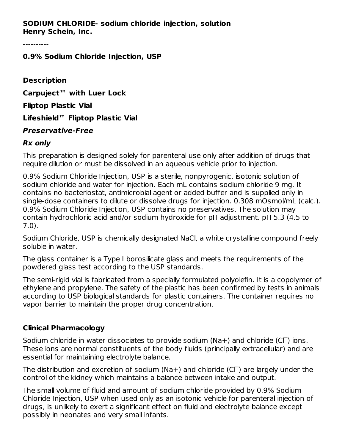### **SODIUM CHLORIDE- sodium chloride injection, solution Henry Schein, Inc.**

----------

#### **0.9% Sodium Chloride Injection, USP**

**Description Carpuject™ with Luer Lock Fliptop Plastic Vial Lifeshield™ Fliptop Plastic Vial Preservative-Free**

#### **Rx only**

This preparation is designed solely for parenteral use only after addition of drugs that require dilution or must be dissolved in an aqueous vehicle prior to injection.

0.9% Sodium Chloride Injection, USP is a sterile, nonpyrogenic, isotonic solution of sodium chloride and water for injection. Each mL contains sodium chloride 9 mg. It contains no bacteriostat, antimicrobial agent or added buffer and is supplied only in single-dose containers to dilute or dissolve drugs for injection. 0.308 mOsmol/mL (calc.). 0.9% Sodium Chloride Injection, USP contains no preservatives. The solution may contain hydrochloric acid and/or sodium hydroxide for pH adjustment. pH 5.3 (4.5 to 7.0).

Sodium Chloride, USP is chemically designated NaCl, a white crystalline compound freely soluble in water.

The glass container is a Type I borosilicate glass and meets the requirements of the powdered glass test according to the USP standards.

The semi-rigid vial is fabricated from a specially formulated polyolefin. It is a copolymer of ethylene and propylene. The safety of the plastic has been confirmed by tests in animals according to USP biological standards for plastic containers. The container requires no vapor barrier to maintain the proper drug concentration.

#### **Clinical Pharmacology**

Sodium chloride in water dissociates to provide sodium (Na+) and chloride (C $\Gamma$ ) ions. These ions are normal constituents of the body fluids (principally extracellular) and are essential for maintaining electrolyte balance.

The distribution and excretion of sodium (Na+) and chloride (C $\Gamma$ ) are largely under the control of the kidney which maintains a balance between intake and output.

The small volume of fluid and amount of sodium chloride provided by 0.9% Sodium Chloride Injection, USP when used only as an isotonic vehicle for parenteral injection of drugs, is unlikely to exert a significant effect on fluid and electrolyte balance except possibly in neonates and very small infants.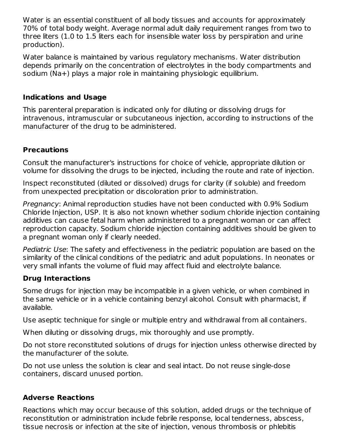Water is an essential constituent of all body tissues and accounts for approximately 70% of total body weight. Average normal adult daily requirement ranges from two to three liters (1.0 to 1.5 liters each for insensible water loss by perspiration and urine production).

Water balance is maintained by various regulatory mechanisms. Water distribution depends primarily on the concentration of electrolytes in the body compartments and sodium (Na+) plays a major role in maintaining physiologic equilibrium.

## **Indications and Usage**

This parenteral preparation is indicated only for diluting or dissolving drugs for intravenous, intramuscular or subcutaneous injection, according to instructions of the manufacturer of the drug to be administered.

## **Precautions**

Consult the manufacturer's instructions for choice of vehicle, appropriate dilution or volume for dissolving the drugs to be injected, including the route and rate of injection.

Inspect reconstituted (diluted or dissolved) drugs for clarity (if soluble) and freedom from unexpected precipitation or discoloration prior to administration.

Pregnancy: Animal reproduction studies have not been conducted with 0.9% Sodium Chloride Injection, USP. It is also not known whether sodium chloride injection containing additives can cause fetal harm when administered to a pregnant woman or can affect reproduction capacity. Sodium chloride injection containing additives should be given to a pregnant woman only if clearly needed.

Pediatric Use: The safety and effectiveness in the pediatric population are based on the similarity of the clinical conditions of the pediatric and adult populations. In neonates or very small infants the volume of fluid may affect fluid and electrolyte balance.

## **Drug Interactions**

Some drugs for injection may be incompatible in a given vehicle, or when combined in the same vehicle or in a vehicle containing benzyl alcohol. Consult with pharmacist, if available.

Use aseptic technique for single or multiple entry and withdrawal from all containers.

When diluting or dissolving drugs, mix thoroughly and use promptly.

Do not store reconstituted solutions of drugs for injection unless otherwise directed by the manufacturer of the solute.

Do not use unless the solution is clear and seal intact. Do not reuse single-dose containers, discard unused portion.

### **Adverse Reactions**

Reactions which may occur because of this solution, added drugs or the technique of reconstitution or administration include febrile response, local tenderness, abscess, tissue necrosis or infection at the site of injection, venous thrombosis or phlebitis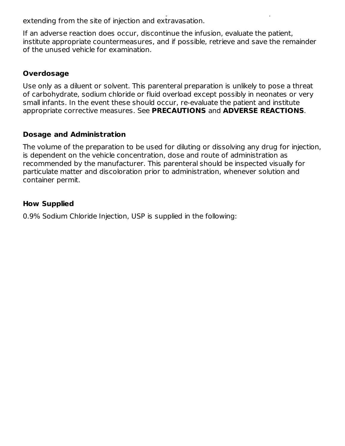tissue necrosis or infection at the site of injection, venous thrombosis or phlebitis extending from the site of injection and extravasation.

If an adverse reaction does occur, discontinue the infusion, evaluate the patient, institute appropriate countermeasures, and if possible, retrieve and save the remainder of the unused vehicle for examination.

# **Overdosage**

Use only as a diluent or solvent. This parenteral preparation is unlikely to pose a threat of carbohydrate, sodium chloride or fluid overload except possibly in neonates or very small infants. In the event these should occur, re-evaluate the patient and institute appropriate corrective measures. See **PRECAUTIONS** and **ADVERSE REACTIONS**.

## **Dosage and Administration**

The volume of the preparation to be used for diluting or dissolving any drug for injection, is dependent on the vehicle concentration, dose and route of administration as recommended by the manufacturer. This parenteral should be inspected visually for particulate matter and discoloration prior to administration, whenever solution and container permit.

## **How Supplied**

0.9% Sodium Chloride Injection, USP is supplied in the following: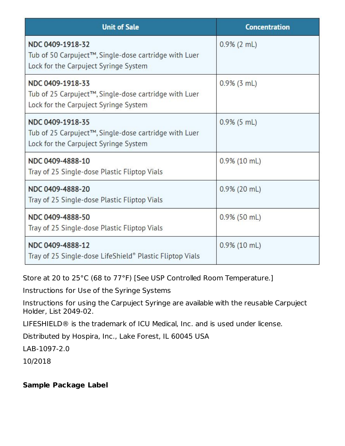| <b>Unit of Sale</b>                                                                                                | <b>Concentration</b> |
|--------------------------------------------------------------------------------------------------------------------|----------------------|
| NDC 0409-1918-32<br>Tub of 50 Carpuject™, Single-dose cartridge with Luer<br>Lock for the Carpuject Syringe System | $0.9\%$ (2 mL)       |
| NDC 0409-1918-33<br>Tub of 25 Carpuject™, Single-dose cartridge with Luer<br>Lock for the Carpuject Syringe System | $0.9\%$ (3 mL)       |
| NDC 0409-1918-35<br>Tub of 25 Carpuject™, Single-dose cartridge with Luer<br>Lock for the Carpuject Syringe System | $0.9\%$ (5 mL)       |
| NDC 0409-4888-10<br>Tray of 25 Single-dose Plastic Fliptop Vials                                                   | $0.9\%$ (10 mL)      |
| NDC 0409-4888-20<br>Tray of 25 Single-dose Plastic Fliptop Vials                                                   | $0.9\%$ (20 mL)      |
| NDC 0409-4888-50<br>Tray of 25 Single-dose Plastic Fliptop Vials                                                   | $0.9\%$ (50 mL)      |
| NDC 0409-4888-12<br>Tray of 25 Single-dose LifeShield® Plastic Fliptop Vials                                       | $0.9\%$ (10 mL)      |

Store at 20 to 25°C (68 to 77°F) [See USP Controlled Room Temperature.]

Instructions for Use of the Syringe Systems

Instructions for using the Carpuject Syringe are available with the reusable Carpuject Holder, List 2049-02.

LIFESHIELD® is the trademark of ICU Medical, Inc. and is used under license.

Distributed by Hospira, Inc., Lake Forest, IL 60045 USA

LAB-1097-2.0

10/2018

### **Sample Package Label**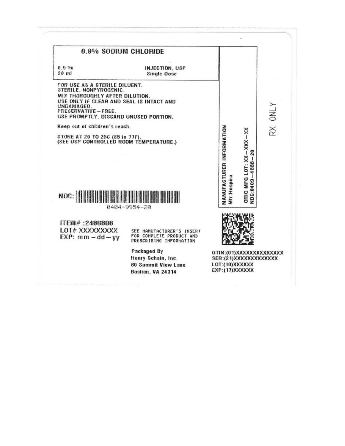| 0.9% SODIUM CHLORIDE                                                                                                                                                                                                                                                                                                             |                                                                                  |                                                                                         |                                                       |          |
|----------------------------------------------------------------------------------------------------------------------------------------------------------------------------------------------------------------------------------------------------------------------------------------------------------------------------------|----------------------------------------------------------------------------------|-----------------------------------------------------------------------------------------|-------------------------------------------------------|----------|
| 0.9 <sub>0</sub><br>$20$ ml                                                                                                                                                                                                                                                                                                      | INJECTION, USP<br><b>Single Dose</b>                                             |                                                                                         |                                                       |          |
| FOR USE AS A STERILE DILUENT.<br>STERILE, NONPYROGENIC.<br>MIX THOROUGHLY AFTER DILUTION.<br>USE ONLY IF CLEAR AND SEAL IS INTACT AND<br>UNDAMAGED.<br>PRESERVATIVE-FREE.<br>USE PROMPTLY, DISCARD UNUSED PORTION.<br>Keep out of children's reach.<br>STORE AT 20 TO 26C (88 to 77F).<br>(SEE USP CONTROLLED ROOM TEMPERATURE.) |                                                                                  |                                                                                         | $\overline{20}$                                       | Y JMC XS |
|                                                                                                                                                                                                                                                                                                                                  | 0404-9954-20                                                                     | <b>MANUFACTURER INFORMATION</b><br>Mfr:Hospira                                          | ORIG MFG LOT: $XX - XXX - XX$<br>$4888 -$<br>NDC:0409 |          |
| ITEM#:2480808<br>LOT#XXXXXXXXX<br>$EXP:$ mm $-$ dd $-$ yy                                                                                                                                                                                                                                                                        | SEE MANUFACTURER'S INSERT<br>FOR COMPLETE PRODUCT AND<br>PRESCRIBING INFORMATION |                                                                                         |                                                       |          |
|                                                                                                                                                                                                                                                                                                                                  | Packaged By<br>Henry Schein, Inc.<br>80 Summit View Lane<br>Bastian, VA 24314    | GTIN:(01)XXXXXXXXXXXXXXX<br>SER:(21)XXXXXXXXXXXXXX<br>LOT:(10)XXXXXX<br>EXP:(17)XXXXXXX |                                                       |          |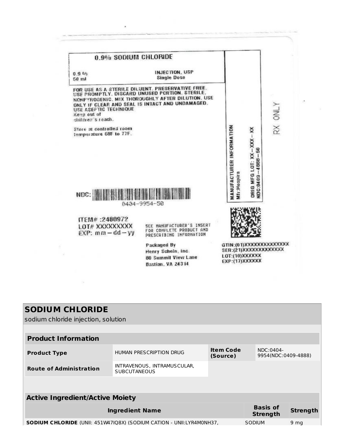| 0.9% SODIUM CHLORIDE                                             |                                                                                                                                                                                                           |                                                                                         |         |
|------------------------------------------------------------------|-----------------------------------------------------------------------------------------------------------------------------------------------------------------------------------------------------------|-----------------------------------------------------------------------------------------|---------|
| 0.9%<br>50 ml                                                    | INJECTION, USP<br><b>Single Dose</b>                                                                                                                                                                      |                                                                                         |         |
| USE ASEPTIC TECHNIQUE<br>Keep out of<br>children's reach.        | FOR USE AS A STERILE DILUENT. PRESERVATIVE FREE.<br>USE PROMPTLY. DISCARD UNUSED PORTION. STERILE,<br>NONPYROGENIC. MIX THOROUGHLY AFTER DILUTION. USE<br>ONLY IF CLEAR AND SEAL IS INTACT AND UNDAMAGED. |                                                                                         | RX ONLY |
| Store at controlled room<br>temperature 68F to 77F.              |                                                                                                                                                                                                           | MANUFACTURER INFORMATION<br>ORIG MFG LOT: XX-XXX-XX<br>NDC:0409-4888-50                 |         |
| NDC:                                                             | 0434-9954-50                                                                                                                                                                                              | Mtr:Hospira                                                                             |         |
| <b>ПЕМ#:2480972</b><br>LOT# XXXXXXXXX<br>$EXP:$ mm $-$ dd $-$ yy | SEE MANUFACTURER'S INSERT<br>FOR COMPLETE PRODUCT AND<br>PRESCRIBING INFORMATION                                                                                                                          |                                                                                         |         |
|                                                                  | Packaged By<br>Henry Schein, Inc.<br>80 Summit View Lane<br><b>Bastian, VA 24314</b>                                                                                                                      | GTIN:(01)XXXXXXXXXXXXXXXX<br>SER:(21)XXXXXXXXXXXXXX<br>LOT:(10)XXXXXX<br>EXP:(17)XXXXXX |         |

×,

# **SODIUM CHLORIDE**

sodium chloride injection, solution

 $\overline{\mathbb{R}}$ 

| <b>Product Information</b>                                                                               |                                                    |                              |                                  |                 |  |
|----------------------------------------------------------------------------------------------------------|----------------------------------------------------|------------------------------|----------------------------------|-----------------|--|
| <b>Product Type</b>                                                                                      | HUMAN PRESCRIPTION DRUG                            | <b>Item Code</b><br>(Source) | NDC:0404-<br>9954(NDC:0409-4888) |                 |  |
| <b>Route of Administration</b>                                                                           | INTRAVENOUS, INTRAMUSCULAR,<br><b>SUBCUTANEOUS</b> |                              |                                  |                 |  |
|                                                                                                          |                                                    |                              |                                  |                 |  |
| <b>Active Ingredient/Active Moiety</b>                                                                   |                                                    |                              |                                  |                 |  |
|                                                                                                          | <b>Ingredient Name</b>                             |                              | <b>Basis of</b><br>Strength      | <b>Strength</b> |  |
| <b>SODIUM CHLORIDE</b> (UNII: 451W47IQ8X) (SODIUM CATION - UNII:LYR4M0NH37,<br>SODIUM<br>9 <sub>mg</sub> |                                                    |                              |                                  |                 |  |
|                                                                                                          |                                                    |                              |                                  |                 |  |